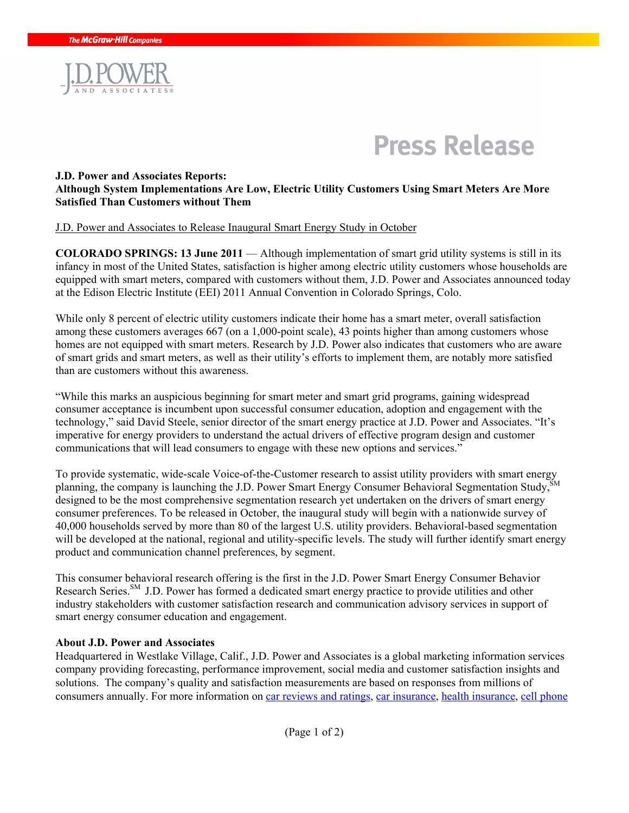



# **J.D. Power and Associates Reports: Although System Implementations Are Low, Electric Utility Customers Using Smart Meters Are More Satisfied Than Customers without Them**

#### J.D. Power and Associates to Release Inaugural Smart Energy Study in October

**COLORADO SPRINGS: 13 June 2011** — Although implementation of smart grid utility systems is still in its infancy in most of the United States, satisfaction is higher among electric utility customers whose households are equipped with smart meters, compared with customers without them, J.D. Power and Associates announced today at the Edison Electric Institute (EEI) 2011 Annual Convention in Colorado Springs, Colo.

While only 8 percent of electric utility customers indicate their home has a smart meter, overall satisfaction among these customers averages 667 (on a 1,000-point scale), 43 points higher than among customers whose homes are not equipped with smart meters. Research by J.D. Power also indicates that customers who are aware of smart grids and smart meters, as well as their utility's efforts to implement them, are notably more satisfied than are customers without this awareness.

"While this marks an auspicious beginning for smart meter and smart grid programs, gaining widespread consumer acceptance is incumbent upon successful consumer education, adoption and engagement with the technology," said David Steele, senior director of the smart energy practice at J.D. Power and Associates. "It's imperative for energy providers to understand the actual drivers of effective program design and customer communications that will lead consumers to engage with these new options and services."

To provide systematic, wide-scale Voice-of-the-Customer research to assist utility providers with smart energy planning, the company is launching the J.D. Power Smart Energy Consumer Behavioral Segmentation Study. designed to be the most comprehensive segmentation research yet undertaken on the drivers of smart energy consumer preferences. To be released in October, the inaugural study will begin with a nationwide survey of 40,000 households served by more than 80 of the largest U.S. utility providers. Behavioral-based segmentation will be developed at the national, regional and utility-specific levels. The study will further identify smart energy product and communication channel preferences, by segment.

This consumer behavioral research offering is the first in the J.D. Power Smart Energy Consumer Behavior Research Series.<sup>SM</sup> J.D. Power has formed a dedicated smart energy practice to provide utilities and other industry stakeholders with customer satisfaction research and communication advisory services in support of smart energy consumer education and engagement.

### **About J.D. Power and Associates**

Headquartered in Westlake Village, Calif., J.D. Power and Associates is a global marketing information services company providing forecasting, performance improvement, social media and customer satisfaction insights and solutions. The company's quality and satisfaction measurements are based on responses from millions of consumers annually. For more information on [car reviews and ratings,](http://www.jdpower.com/autos) [car insurance](http://www.jdpower.com/insurance), [health insurance,](http://www.jdpower.com/healthcare) [cell phone](http://www.jdpower.com/telecom)